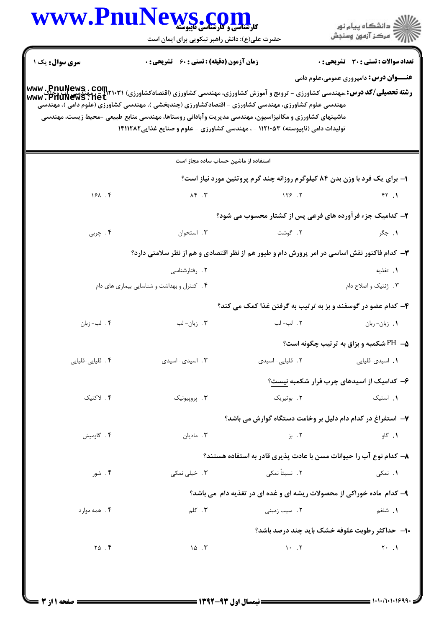|                        | www.PnuNews.col<br><b>کارشناسی و کارشناسی ناپیوسته</b>                                                                                                                                                                                                                                                                                        |                                                                            | ڪ دانشڪاه پيا <sub>م</sub> نور<br>7ء مرڪز آزمون وسنڊش |  |
|------------------------|-----------------------------------------------------------------------------------------------------------------------------------------------------------------------------------------------------------------------------------------------------------------------------------------------------------------------------------------------|----------------------------------------------------------------------------|-------------------------------------------------------|--|
|                        | حضرت علی(ع): دانش راهبر نیکویی برای ایمان است                                                                                                                                                                                                                                                                                                 |                                                                            |                                                       |  |
| <b>سری سوال :</b> یک ۱ | <b>زمان آزمون (دقیقه) : تستی : 60 ٪ تشریحی : 0</b>                                                                                                                                                                                                                                                                                            |                                                                            | تعداد سوالات : تستي : 30 ٪ تشريحي : 0                 |  |
|                        |                                                                                                                                                                                                                                                                                                                                               |                                                                            | <b>عنـــوان درس:</b> دامپروری عمومی،علوم دامی         |  |
|                        | <b>رشته تحصیلی/کد درس: .مهندسی کشاورزی - ترویج و آموزش کشاورزی، مهندسی کشاورزی (اقتصادکشاورزی) (PnuNews : Com<br/>سنه تحصیلی/کد درس: ،مهندسی کشاورزی - ترویج و آموزش کشاورزی، مهندسی کشاورزی (اقتصادکشاورزی) ( www : PnuNews : net</b><br>مهندسی علوم کشاورزی، مهندسی کشاورزی – اقتصادکشاورزی (چندبخشی )، مهندسی کشاورزی (علوم دامی )، مهندسی |                                                                            |                                                       |  |
|                        | ماشینهای کشاورزی و مکانیزاسیون، مهندسی مدیریت وآبادانی روستاها، مهندسی منابع طبیعی -محیط زیست، مهندسی                                                                                                                                                                                                                                         |                                                                            |                                                       |  |
|                        | تولیدات دامی (ناپیوسته) ۱۱۲۱۰۵۳ - ، مهندسی کشاورزی - علوم و صنایع غذایی۱۴۱۱۲۸۲                                                                                                                                                                                                                                                                |                                                                            |                                                       |  |
|                        | استفاده از ماشین حساب ساده مجاز است                                                                                                                                                                                                                                                                                                           |                                                                            |                                                       |  |
|                        |                                                                                                                                                                                                                                                                                                                                               | ۱- برای یک فرد با وزن بدن ۸۴ کیلوگرم روزانه چند گرم پروتئین مورد نیاز است؟ |                                                       |  |
| 181.4                  | $\lambda$ ۴.۳                                                                                                                                                                                                                                                                                                                                 | 128.7                                                                      | FT.1                                                  |  |
|                        |                                                                                                                                                                                                                                                                                                                                               | ۲- کدامیک جزء فرآورده های فرعی پس از کشتار محسوب می شود؟                   |                                                       |  |
| ۴. چربی                | ۰۳ استخوان                                                                                                                                                                                                                                                                                                                                    | ۲. گوشت                                                                    | ۰۱ جگر                                                |  |
|                        | ۳- کدام فاکتور نقش اساسی در امر پرورش دام و طیور هم از نظر اقتصادی و هم از نظر سلامتی دارد؟                                                                                                                                                                                                                                                   |                                                                            |                                                       |  |
|                        | ۰۲ رفتارشناسی                                                                                                                                                                                                                                                                                                                                 |                                                                            | ١. تغذيه                                              |  |
|                        | ۴. کنترل و بهداشت و شناسایی بیماری های دام                                                                                                                                                                                                                                                                                                    |                                                                            | ۰۳ ژنتیک و اصلاح دام                                  |  |
|                        |                                                                                                                                                                                                                                                                                                                                               | ۴- کدام عضو در گوسفند و بز به ترتیب به گرفتن غذا کمک می کند؟               |                                                       |  |
| ۴. لب-زبان             | ۰۳ زبان- لب                                                                                                                                                                                                                                                                                                                                   | ٢. لب-لب                                                                   | 1. زبان-ربان                                          |  |
|                        |                                                                                                                                                                                                                                                                                                                                               |                                                                            | <b>4− PH شکمبه و بزاق به ترتیب چگونه است؟</b>         |  |
| ۰۴ قلیایی-قلیایی       | ۰۳ اسیدی- اسیدی                                                                                                                                                                                                                                                                                                                               | ٢. قلیایی-اسیدی                                                            | 1. اسيدى-قليايى                                       |  |
|                        |                                                                                                                                                                                                                                                                                                                                               |                                                                            | ۶– کدامیک از اسیدهای چرب فرار شکمبه نیست؟             |  |
| ۰۴ لاکتیک              | ۰۳ پروپيونيک                                                                                                                                                                                                                                                                                                                                  | ۲. بوتیریک                                                                 | ٠. استيک                                              |  |
|                        |                                                                                                                                                                                                                                                                                                                                               | ۷– استفراغ در کدام دام دلیل بر وخامت دستگاه گوارش می باشد؟                 |                                                       |  |
| ۰۴ گاومیش              | ۰۳ مادیان                                                                                                                                                                                                                                                                                                                                     | ۰۲ بز                                                                      | ۰۱ گاو                                                |  |
|                        |                                                                                                                                                                                                                                                                                                                                               | ۸– کدام نوع آب را حیوانات مسن با عادت پذیری قادر به استفاده هستند؟         |                                                       |  |
| ۰۴ شور                 | ۴. خیلی نمکی                                                                                                                                                                                                                                                                                                                                  | ٢. نسبتاً نمكى                                                             | ۰۱ نمکی                                               |  |
|                        |                                                                                                                                                                                                                                                                                                                                               | ۹- کدام ماده خوراکی از محصولات ریشه ای و غده ای در تغذیه دام می باشد؟      |                                                       |  |
| ۴. همه موارد           | ۰۳ کلم                                                                                                                                                                                                                                                                                                                                        | ٢. سيب زمينى                                                               | ۰۱ شلغم                                               |  |
|                        |                                                                                                                                                                                                                                                                                                                                               | ۱۰– حداکثر رطوبت علوفه خشک باید چند درصد باشد؟                             |                                                       |  |
| $\Upsilon \Delta$ .    | $\sqrt{2}$ . T                                                                                                                                                                                                                                                                                                                                | $\mathcal{N}$ . $\mathcal{N}$                                              | $Y \cdot \cdot \cdot$                                 |  |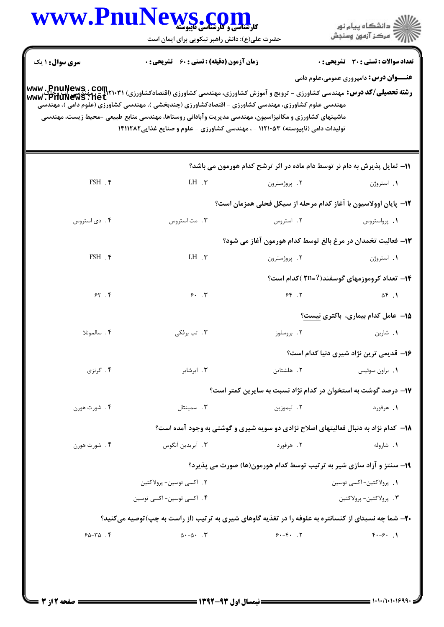|                        | حضرت علی(ع): دانش راهبر نیکویی برای ایمان است                                                                                                                                                                                                                                                                                                                                                                                                               |                                                                                     | رِ آزمون وسنڊش                                      |
|------------------------|-------------------------------------------------------------------------------------------------------------------------------------------------------------------------------------------------------------------------------------------------------------------------------------------------------------------------------------------------------------------------------------------------------------------------------------------------------------|-------------------------------------------------------------------------------------|-----------------------------------------------------|
| سری سوال: ۱ یک         | <b>زمان آزمون (دقیقه) : تستی : 60 ٪ تشریحی : 0</b>                                                                                                                                                                                                                                                                                                                                                                                                          |                                                                                     | تعداد سوالات : تستي : 30 ٪ تشريحي : 0               |
|                        | <b>رشته تحصیلی/کد درس: مه</b> ندسی کشاورزی - ترویج و آموزش کشاورزی، مهندسی کشاورزی (اقتصادکشاورزی) (PnuNews ، COM۲۱۰۳۱<br><b>رشته تحصیلی/کد درس: م</b> هندسی کشاورزی - ترویج و آموزش کشاورزی، مهندسی کشاورزی (اقتصادکشاورزی) (Www ، PhuNews<br>مهندسی علوم کشاورزی، مهندسی کشاورزی – اقتصادکشاورزی (چندبخشی )، مهندسی کشاورزی (علوم دامی )، مهندسی<br>ماشینهای کشاورزی و مکانیزاسیون، مهندسی مدیریت وآبادانی روستاها، مهندسی منابع طبیعی -محیط زیست، مهندسی |                                                                                     | <b>عنـــوان درس:</b> دامپروری عمومی،علوم دامی       |
|                        | تولیدات دامی (ناپیوسته) ۱۱۲۱۰۵۳ - ، مهندسی کشاورزی - علوم و صنایع غذایی۱۴۱۱۲۸۲                                                                                                                                                                                                                                                                                                                                                                              |                                                                                     |                                                     |
|                        |                                                                                                                                                                                                                                                                                                                                                                                                                                                             | 11- تمایل پذیرش به دام نر توسط دام ماده در اثر ترشح کدام هورمون می باشد؟            |                                                     |
| $FSH$ . $\gamma$       | LH $\cdot$ $\mathsf{r}$                                                                                                                                                                                                                                                                                                                                                                                                                                     | ۲. پروژسترون                                                                        | ۰۱ استروژن                                          |
|                        |                                                                                                                                                                                                                                                                                                                                                                                                                                                             | ۱۲– پایان اوولاسیون با آغاز کدام مرحله از سیکل فحلی همزمان است؟                     |                                                     |
| ۰۴ دی استروس           | ۰۳ مت استروس                                                                                                                                                                                                                                                                                                                                                                                                                                                | ۲. استروس                                                                           | ٠١. پرواستروس                                       |
|                        |                                                                                                                                                                                                                                                                                                                                                                                                                                                             | <b>۱۳</b> – فعالیت تخمدان در مرغ بالغ توسط کدام هورمون آغاز می شود؟                 |                                                     |
| $FSH$ . $\mathfrak{f}$ | $LH \cdot \tau$                                                                                                                                                                                                                                                                                                                                                                                                                                             | ۰۲ پروژسترون                                                                        | <b>۱.</b> استروژن                                   |
|                        |                                                                                                                                                                                                                                                                                                                                                                                                                                                             |                                                                                     | <b>۱۴</b> – تعداد کروموزمهای گوسفند(?=۲۱ )کدام است؟ |
| 55.5                   | 9.7                                                                                                                                                                                                                                                                                                                                                                                                                                                         | 55.7                                                                                | $\Delta f$ .                                        |
|                        |                                                                                                                                                                                                                                                                                                                                                                                                                                                             |                                                                                     | 1۵– عامل کدام بیماری، باکتری نیست؟                  |
| ۰۴ سالمونلا            | ۰۳ تب برفکی                                                                                                                                                                                                                                                                                                                                                                                                                                                 | ۰۲ بروسلوز                                                                          | ۰۱ شاربن                                            |
|                        |                                                                                                                                                                                                                                                                                                                                                                                                                                                             |                                                                                     | ۱۶– قدیمی ترین نژاد شیری دنیا کدام است؟             |
| ۴. گرنزی               | ۰۳ ایرشایر                                                                                                                                                                                                                                                                                                                                                                                                                                                  | ۲. هلشتاین                                                                          | ٠١. براون سوئيس                                     |
|                        |                                                                                                                                                                                                                                                                                                                                                                                                                                                             | ۱۷– درصد گوشت به استخوان در کدام نژاد نسبت به سایرین کمتر است؟                      |                                                     |
| ۴. شورت هورن           | ۰۳ سمینتال                                                                                                                                                                                                                                                                                                                                                                                                                                                  | ٢. ليموزين                                                                          | ۱. هرفورد                                           |
|                        |                                                                                                                                                                                                                                                                                                                                                                                                                                                             | ۱۸– کدام نژاد به دنبال فعالیتهای اصلاح نژادی دو سویه شیری و گوشتی به وجود آمده است؟ |                                                     |
| ۴. شورت هورن           | ۰۳ آبریدین آنگوس                                                                                                                                                                                                                                                                                                                                                                                                                                            | ۲. هرفورد                                                                           | ۰۱ شاروله                                           |
|                        |                                                                                                                                                                                                                                                                                                                                                                                                                                                             | ۱۹- سنتز و آزاد سازی شیر به ترتیب توسط کدام هورمون(ها) صورت می پذیرد؟               |                                                     |
|                        | ۲ . اکسی توسین- پرولاکتین                                                                                                                                                                                                                                                                                                                                                                                                                                   |                                                                                     | 1. پرولاکتین-اکسی توسین                             |
|                        | ۰۴ اکسی توسین- اکسی توسین                                                                                                                                                                                                                                                                                                                                                                                                                                   |                                                                                     | ۴ . پرولاكتين- پرولاكتين                            |
|                        | <b>۲۰</b> ـ شما چه نسبتای از کنسانتره به علوفه را در تغذیه گاوهای شیری به ترتیب (از راست به چپ)توصیه میکنید؟                                                                                                                                                                                                                                                                                                                                                |                                                                                     |                                                     |
|                        | $\Delta \cdot - \Delta \cdot \cdot \cdot \cdot \cdot$                                                                                                                                                                                                                                                                                                                                                                                                       | $9 - 5 - 7$                                                                         | $F - 5$                                             |